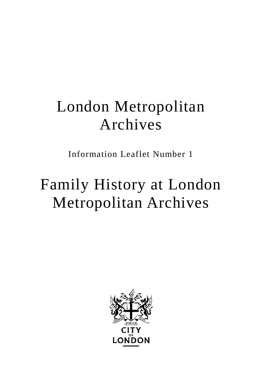## London Metropolitan Archives

Information Leaflet Number 1

# Family History at London Metropolitan Archives

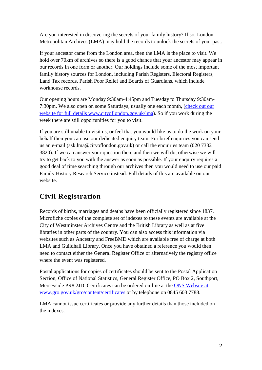Are you interested in discovering the secrets of your family history? If so, London Metropolitan Archives (LMA) may hold the records to unlock the secrets of your past.

If your ancestor came from the London area, then the LMA is the place to visit. We hold over 70km of archives so there is a good chance that your ancestor may appear in our records in one form or another. Our holdings include some of the most important family history sources for London, including Parish Registers, Electoral Registers, Land Tax records, Parish Poor Relief and Boards of Guardians, which include workhouse records.

Our opening hours are Monday 9:30am-4:45pm and Tuesday to Thursday 9:30am-7:30pm. We also open on some Saturdays, usually one each month, [\(check out our](http://www.cityoflondon.gov.uk/lma)  [website for full details www.cityoflondon.gov.uk/lma\)](http://www.cityoflondon.gov.uk/lma). So if you work during the week there are still opportunities for you to visit.

If you are still unable to visit us, or feel that you would like us to do the work on your behalf then you can use our dedicated enquiry team. For brief enquiries you can send us an e-mail [\(ask.lma@cityoflondon.gov.uk\)](mailto:ask.lma@cityoflondon.gov.uk) or call the enquiries team (020 7332 3820). If we can answer your question there and then we will do, otherwise we will try to get back to you with the answer as soon as possible. If your enquiry requires a good deal of time searching through our archives then you would need to use our paid Family History Research Service instead. Full details of this are available on our website.

### **Civil Registration**

Records of births, marriages and deaths have been officially registered since 1837. Microfiche copies of the complete set of indexes to these events are available at the City of Westminster Archives Centre and the British Library as well as at five libraries in other parts of the country. You can also access this information via websites such as Ancestry and FreeBMD which are available free of charge at both LMA and Guildhall Library. Once you have obtained a reference you would then need to contact either the General Register Office or alternatively the registry office where the event was registered.

Postal applications for copies of certificates should be sent to the Postal Application Section, Office of National Statistics, General Register Office, PO Box 2, Southport, Merseyside PR8 2JD. Certificates can be ordered on-line at the [ONS Website at](http://www.gro.gov.uk/gro/content/certificates)  [www.gro.gov.uk/gro/content/certificates](http://www.gro.gov.uk/gro/content/certificates) or by telephone on 0845 603 7788.

LMA cannot issue certificates or provide any further details than those included on the indexes.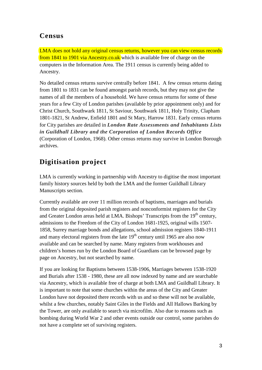#### **Census**

LMA does not hold any original census returns, however you can view census records from 1841 to 1901 via Ancestry.co.uk which is available free of charge on the computers in the Information Area. The 1911 census is currently being added to Ancestry.

No detailed census returns survive centrally before 1841. A few census returns dating from 1801 to 1831 can be found amongst parish records, but they may not give the names of all the members of a household. We have census returns for some of these years for a few City of London parishes (available by prior appointment only) and for Christ Church, Southwark 1811, St Saviour, Southwark 1811, Holy Trinity, Clapham 1801-1821, St Andrew, Enfield 1801 and St Mary, Harrow 1831. Early census returns for City parishes are detailed in *London Rate Assessments and Inhabitants Lists in Guildhall Library and the Corporation of London Records Office* (Corporation of London, 1968). Other census returns may survive in London Borough archives.

## **Digitisation project**

LMA is currently working in partnership with Ancestry to digitise the most important family history sources held by both the LMA and the former Guildhall Library Manuscripts section.

Currently available are over 11 million records of baptisms, marriages and burials from the original deposited parish registers and nonconformist registers for the City and Greater London areas held at LMA. Bishops' Transcripts from the  $19<sup>th</sup>$  century, admissions to the Freedom of the City of London 1681-1925, original wills 1507- 1858, Surrey marriage bonds and allegations, school admission registers 1840-1911 and many electoral registers from the late  $19<sup>th</sup>$  century until 1965 are also now available and can be searched by name. Many registers from workhouses and children's homes run by the London Board of Guardians can be browsed page by page on Ancestry, but not searched by name.

If you are looking for Baptisms between 1538-1906, Marriages between 1538-1920 and Burials after 1538 - 1980, these are all now indexed by name and are searchable via Ancestry, which is available free of charge at both LMA and Guildhall Library. It is important to note that some churches within the areas of the City and Greater London have not deposited there records with us and so these will not be available, whilst a few churches, notably Saint Giles in the Fields and All Hallows Barking by the Tower, are only available to search via microfilm. Also due to reasons such as bombing during World War 2 and other events outside our control, some parishes do not have a complete set of surviving registers.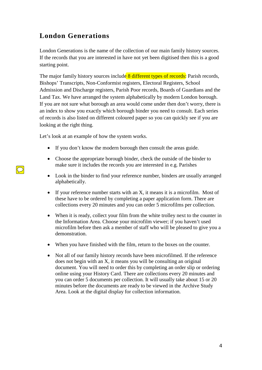### **London Generations**

London Generations is the name of the collection of our main family history sources. If the records that you are interested in have not yet been digitised then this is a good starting point.

The major family history sources include 8 different types of records: Parish records, Bishops' Transcripts, Non-Conformist registers, Electoral Registers, School Admission and Discharge registers, Parish Poor records, Boards of Guardians and the Land Tax. We have arranged the system alphabetically by modern London borough. If you are not sure what borough an area would come under then don't worry, there is an index to show you exactly which borough binder you need to consult. Each series of records is also listed on different coloured paper so you can quickly see if you are looking at the right thing.

Let's look at an example of how the system works.

- If you don't know the modern borough then consult the areas guide.
- Choose the appropriate borough binder, check the outside of the binder to make sure it includes the records you are interested in e.g. Parishes
- Look in the binder to find your reference number, binders are usually arranged alphabetically.
- If your reference number starts with an X, it means it is a microfilm. Most of these have to be ordered by completing a paper application form. There are collections every 20 minutes and you can order 5 microfilms per collection.
- When it is ready, collect your film from the white trolley next to the counter in the Information Area. Choose your microfilm viewer; if you haven't used microfilm before then ask a member of staff who will be pleased to give you a demonstration.
- When you have finished with the film, return to the boxes on the counter.
- Not all of our family history records have been microfilmed. If the reference does not begin with an X, it means you will be consulting an original document. You will need to order this by completing an order slip or ordering online using your History Card. There are collections every 20 minutes and you can order 5 documents per collection. It will usually take about 15 or 20 minutes before the documents are ready to be viewed in the Archive Study Area. Look at the digital display for collection information.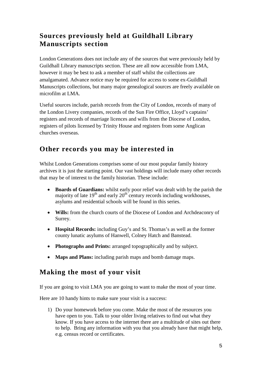### **Sources previously held at Guildhall Library Manuscripts section**

London Generations does not include any of the sources that were previously held by Guildhall Library manuscripts section. These are all now accessible from LMA, however it may be best to ask a member of staff whilst the collections are amalgamated. Advance notice may be required for access to some ex-Guildhall Manuscripts collections, but many major genealogical sources are freely available on microfilm at LMA.

Useful sources include, parish records from the City of London, records of many of the London Livery companies, records of the Sun Fire Office, Lloyd's captains' registers and records of marriage licences and wills from the Diocese of London, registers of pilots licensed by Trinity House and registers from some Anglican churches overseas.

### **Other records you may be interested in**

Whilst London Generations comprises some of our most popular family history archives it is just the starting point. Our vast holdings will include many other records that may be of interest to the family historian. These include:

- **Boards of Guardians:** whilst early poor relief was dealt with by the parish the majority of late  $19<sup>th</sup>$  and early  $20<sup>th</sup>$  century records including workhouses, asylums and residential schools will be found in this series.
- **Wills:** from the church courts of the Diocese of London and Archdeaconry of Surrey.
- **Hospital Records:** including Guy's and St. Thomas's as well as the former county lunatic asylums of Hanwell, Colney Hatch and Banstead.
- **Photographs and Prints:** arranged topographically and by subject.
- **Maps and Plans:** including parish maps and bomb damage maps.

### **Making the most of your visit**

If you are going to visit LMA you are going to want to make the most of your time.

Here are 10 handy hints to make sure your visit is a success:

1) Do your homework before you come. Make the most of the resources you have open to you. Talk to your older living relatives to find out what they know. If you have access to the internet there are a multitude of sites out there to help. Bring any information with you that you already have that might help, e.g. census record or certificates.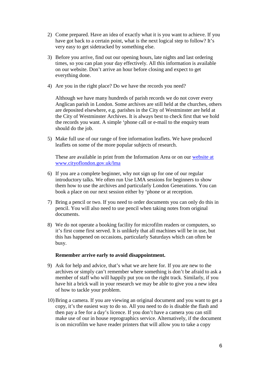- 2) Come prepared. Have an idea of exactly what it is you want to achieve. If you have got back to a certain point, what is the next logical step to follow? It's very easy to get sidetracked by something else.
- 3) Before you arrive, find out our opening hours, late nights and last ordering times, so you can plan your day effectively. All this information is available on our website. Don't arrive an hour before closing and expect to get everything done.
- 4) Are you in the right place? Do we have the records you need?

Although we have many hundreds of parish records we do not cover every Anglican parish in London. Some archives are still held at the churches, others are deposited elsewhere, e.g. parishes in the City of Westminster are held at the City of Westminster Archives. It is always best to check first that we hold the records you want. A simple 'phone call or e-mail to the enquiry team should do the job.

5) Make full use of our range of free information leaflets. We have produced leaflets on some of the more popular subjects of research.

These are available in print from the Information Area or on our [website](http://www.cityoflondon.gov.uk/lma) at [www.cityoflondon.gov.uk/lma](http://www.cityoflondon.gov.uk/lma)

- 6) If you are a complete beginner, why not sign up for one of our regular introductory talks. We often run Use LMA sessions for beginners to show them how to use the archives and particularly London Generations. You can book a place on our next session either by 'phone or at reception.
- 7) Bring a pencil or two. If you need to order documents you can only do this in pencil. You will also need to use pencil when taking notes from original documents.
- 8) We do not operate a booking facility for microfilm readers or computers, so it's first come first served. It is unlikely that all machines will be in use, but this has happened on occasions, particularly Saturdays which can often be busy.

#### **Remember arrive early to avoid disappointment.**

- 9) Ask for help and advice, that's what we are here for. If you are new to the archives or simply can't remember where something is don't be afraid to ask a member of staff who will happily put you on the right track. Similarly, if you have hit a brick wall in your research we may be able to give you a new idea of how to tackle your problem.
- 10) Bring a camera. If you are viewing an original document and you want to get a copy, it's the easiest way to do so. All you need to do is disable the flash and then pay a fee for a day's licence. If you don't have a camera you can still make use of our in house reprographics service. Alternatively, if the document is on microfilm we have reader printers that will allow you to take a copy